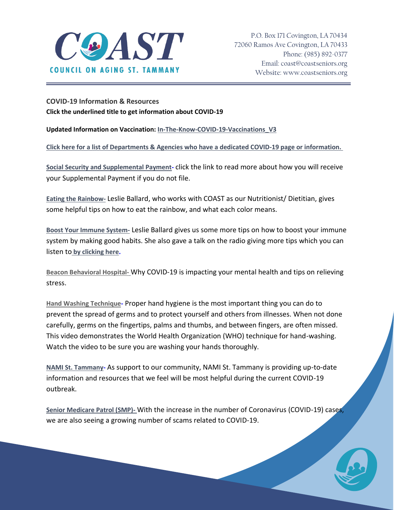

**COVID-19 Information & Resources Click the underlined title to get information about COVID-19**

**Updated Information on Vaccination: [In-The-Know-COVID-19-Vaccinations\\_V3](http://coastseniors.org/wpress/wp-content/uploads/2016/07/In-The-Know-COVID-19-Vaccinations_V3.pdf)**

**[Click here for a list of Departments & Agencies who have a dedicated COVID-19 page or information.](http://coastseniors.org/wpress/wp-content/uploads/2020/04/COVID-Resources.pdf)**

**[Social Security and Supplemental Payment-](http://coastseniors.org/wpress/wp-content/uploads/2020/04/PressRls.COVID-19-Take-Action-Now.pdf)** click the link to read more about how you will receive your Supplemental Payment if you do not file.

**[Eating the Rainbow-](http://coastseniors.org/wpress/wp-content/uploads/2020/04/Eating-the-Rainbow-1.pdf)** Leslie Ballard, who works with COAST as our Nutritionist/ Dietitian, gives some helpful tips on how to eat the rainbow, and what each color means.

**[Boost Your Immune System-](http://coastseniors.org/wpress/wp-content/uploads/2020/04/Boost-Your-Immune-System-1.pdf)** Leslie Ballard gives us some more tips on how to boost your immune system by making good habits. She also gave a talk on the radio giving more tips which you can listen to **[by clicking here.](https://www.northoaks.org/blog/2020/april/listen-tips-for-boosting-your-immune-system/)**

**[Beacon Behavioral Hospital-](http://coastseniors.org/wpress/wp-content/uploads/2020/04/FullSizeRender-converted.pdf)** Why COVID-19 is impacting your mental health and tips on relieving stress.

**[Hand Washing Technique-](https://www.youtube.com/watch?v=IisgnbMfKvI)** Proper hand hygiene is the most important thing you can do to prevent the spread of germs and to protect yourself and others from illnesses. When not done carefully, germs on the fingertips, palms and thumbs, and between fingers, are often missed. This video demonstrates the World Health Organization (WHO) technique for hand-washing. Watch the video to be sure you are washing your hands thoroughly.

**[NAMI St. Tammany-](https://namisttammany.org/wp-content/uploads/2020/03/NAMIST_COVID19_GenRS032620.pdf)** As support to our community, NAMI St. Tammany is providing up-to-date information and resources that we feel will be most helpful during the current COVID-19 outbreak.

**[Senior Medicare Patrol \(SMP\)-](http://coastseniors.org/wpress/wp-content/uploads/2020/03/COVID-19-Fraud-Alert-Rev.pdf)** With the increase in the number of Coronavirus (COVID-19) cases, we are also seeing a growing number of scams related to COVID-19.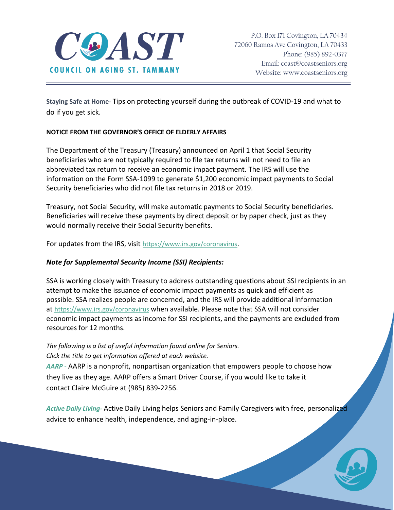

**[Staying Safe at Home-](http://coastseniors.org/wpress/wp-content/uploads/2020/04/COVID-19-Stay.at_.home_.pdf)** Tips on protecting yourself during the outbreak of COVID-19 and what to do if you get sick.

## **NOTICE FROM THE GOVERNOR'S OFFICE OF ELDERLY AFFAIRS**

The Department of the Treasury (Treasury) announced on April 1 that Social Security beneficiaries who are not typically required to file tax returns will not need to file an abbreviated tax return to receive an economic impact payment. The IRS will use the information on the Form SSA-1099 to generate \$1,200 economic impact payments to Social Security beneficiaries who did not file tax returns in 2018 or 2019.

Treasury, not Social Security, will make automatic payments to Social Security beneficiaries. Beneficiaries will receive these payments by direct deposit or by paper check, just as they would normally receive their Social Security benefits.

For updates from the IRS, visit <https://www.irs.gov/coronavirus>.

## *Note for Supplemental Security Income (SSI) Recipients:*

SSA is working closely with Treasury to address outstanding questions about SSI recipients in an attempt to make the issuance of economic impact payments as quick and efficient as possible. SSA realizes people are concerned, and the IRS will provide additional information at <https://www.irs.gov/coronavirus> when available. Please note that SSA will not consider economic impact payments as income for SSI recipients, and the payments are excluded from resources for 12 months.

## *The following is a list of useful information found online for Seniors. Click the title to get information offered at each website.*

*[AARP -](https://states.aarp.org/region/louisiana/)* AARP is a nonprofit, nonpartisan organization that empowers people to choose how they live as they age. AARP offers a Smart Driver Course, if you would like to take it contact Claire McGuire at (985) 839-2256.

*[Active Daily Living-](https://coast.dailylivingadvice.com/)* Active Daily Living helps Seniors and Family Caregivers with free, personalized advice to enhance health, independence, and aging-in-place.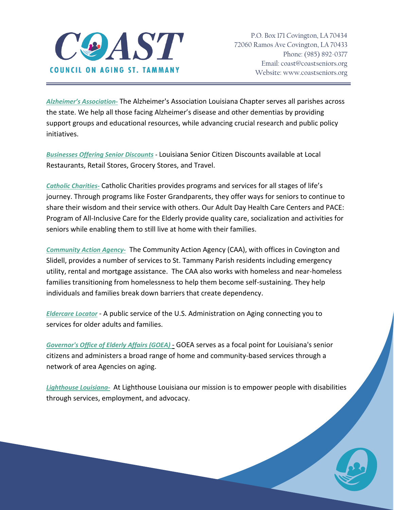

*[Alzheimer's Association](https://www.alz.org/louisiana)-* The Alzheimer's Association Louisiana Chapter serves all parishes across the state. We help all those facing Alzheimer's disease and other dementias by providing support groups and educational resources, while advancing crucial research and public policy initiatives.

*[Businesses Offering Senior Discounts](https://www.seniorcitizendiscountlist.org/louisiana-la-senior-citizen-discount-list-restaurant-retail-grocery-travel/) -* Louisiana Senior Citizen Discounts available at Local Restaurants, Retail Stores, Grocery Stores, and Travel.

*[Catholic Charities-](http://www.ccano.org/senior-services/)* Catholic Charities provides programs and services for all stages of life's journey. Through programs like Foster Grandparents, they offer ways for seniors to continue to share their wisdom and their service with others. Our Adult Day Health Care Centers and PACE: Program of All-Inclusive Care for the Elderly provide quality care, socialization and activities for seniors while enabling them to still live at home with their families.

*[Community Action Agency-](http://www.stpgov.org/caa)* The Community Action Agency (CAA), with offices in Covington and Slidell, provides a number of services to St. Tammany Parish residents including emergency utility, rental and mortgage assistance. The CAA also works with homeless and near-homeless families transitioning from homelessness to help them become self-sustaining. They help individuals and families break down barriers that create dependency.

*[Eldercare Locator](https://eldercare.acl.gov/Public/Index.aspx/)* - A public service of the U.S. Administration on Aging connecting you to services for older adults and families.

*[Governor's Office of Elderly Affairs \(GOEA\)](http://goea.louisiana.gov/)* - GOEA serves as a focal point for Louisiana's senior citizens and administers a broad range of home and community-based services through a network of area Agencies on aging.

*[Lighthouse Louisiana-](https://www.lighthouselouisiana.org/)*At Lighthouse Louisiana our mission is to empower people with disabilities through services, employment, and advocacy.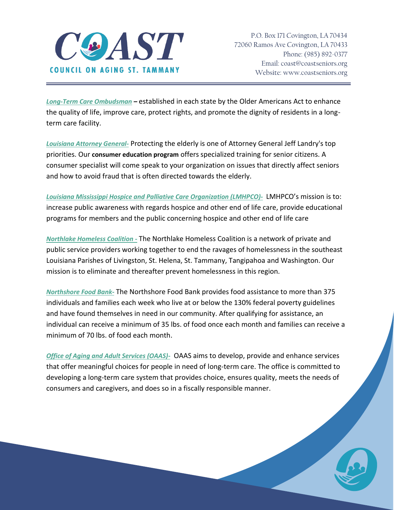

*[Long-Term Care Ombudsman](http://goea.louisiana.gov/index.cfm?md=pagebuilder&tmp=home&pid=107&pnid=2&nid=15) –* established in each state by the Older Americans Act to enhance the quality of life, improve care, protect rights, and promote the dignity of residents in a longterm care facility.

*[Louisiana Attorney General-](https://www.ag.state.la.us/ProtectingSeniors)* Protecting the elderly is one of Attorney General Jeff Landry's top priorities. Our **consumer education program** offers specialized training for senior citizens. A consumer specialist will come speak to your organization on issues that directly affect seniors and how to avoid fraud that is often directed towards the elderly.

*[Louisiana Mississippi Hospice and Palliative Care Organization \(LMHPCO\)-](https://lmhpco.org/)* LMHPCO's mission is to: increase public awareness with regards hospice and other end of life care, provide educational programs for members and the public concerning hospice and other end of life care

*[Northlake Homeless Coalition -](http://northlakehomeless.org/)* The Northlake Homeless Coalition is a network of private and public service providers working together to end the ravages of homelessness in the southeast Louisiana Parishes of Livingston, St. Helena, St. Tammany, Tangipahoa and Washington. Our mission is to eliminate and thereafter prevent homelessness in this region.

*[Northshore Food Bank-](https://northshorefoodbank.org/northshore-food-bank)* The Northshore Food Bank provides food assistance to more than 375 individuals and families each week who live at or below the 130% federal poverty guidelines and have found themselves in need in our community. After qualifying for assistance, an individual can receive a minimum of 35 lbs. of food once each month and families can receive a minimum of 70 lbs. of food each month.

*[Office of Aging and Adult Services \(OAAS\)-](http://ldh.la.gov/index.cfm/page/118)* OAAS aims to develop, provide and enhance services that offer meaningful choices for people in need of long-term care. The office is committed to developing a long-term care system that provides choice, ensures quality, meets the needs of consumers and caregivers, and does so in a fiscally responsible manner.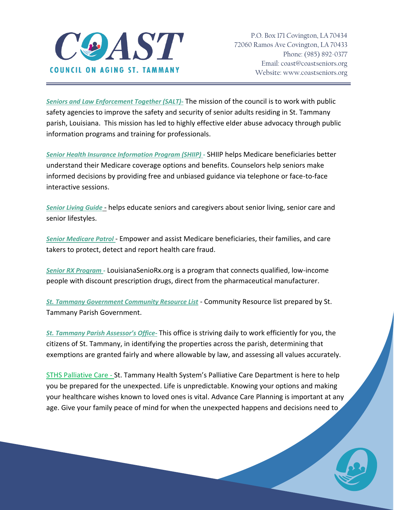

*[Seniors and Law Enforcement Together \(SALT\)-](http://stsalt.org/)* The mission of the council is to work with public safety agencies to improve the safety and security of senior adults residing in St. Tammany parish, Louisiana. This mission has led to highly effective elder abuse advocacy through public information programs and training for professionals.

*[Senior Health Insurance Information Program \(SHIIP\) -](https://www.ldi.la.gov/consumers/senior-health-shiip)* SHIIP helps Medicare beneficiaries better understand their Medicare coverage options and benefits. Counselors help seniors make informed decisions by providing free and unbiased guidance via telephone or face-to-face interactive sessions.

*[Senior Living Guide](http://www.seniorliving.org/)* - helps educate seniors and caregivers about senior living, senior care and senior lifestyles.

*[Senior Medicare Patrol](http://www.stopmedicarefraud.org/)* - Empower and assist Medicare beneficiaries, their families, and care takers to protect, detect and report health care fraud.

*[Senior RX Program -](http://www.louisianaanswers.com/index.php?option=com_content&view=article&id=88&Itemid=487)* LouisianaSenioRx.org is a program that connects qualified, low-income people with discount prescription drugs, direct from the pharmaceutical manufacturer.

*[St. Tammany Government Community Resource List](http://www.stpgov.org/files/Departments/DHHS/Community_Resource_List_August_2016.pdf)* - Community Resource list prepared by St. Tammany Parish Government.

*[St. Tammany Parish Assessor's Office](https://stpao.org/faq/)-* This office is striving daily to work efficiently for you, the citizens of St. Tammany, in identifying the properties across the parish, determining that exemptions are granted fairly and where allowable by law, and assessing all values accurately.

[STHS Palliative Care](https://urldefense.com/v3/__https:/linkprotect.cudasvc.com/url?a=https*3a*2f*2fwww.sttammany.health*2fPalliative&c=E,1,TUjLozSQz7125TAvEuVzrbs2fg6klqEzlY5Pq20juJfJPLhUDeg0UkeTWCFfJboWDLppP93yJmURUrmhPoCIqSJUR0UMFsWvC7eHIMLo0Di7UHA,&typo=1__;JSUlJQ!!Iq-eQi_EjXVxqq3bqQKAMJU!-iRfNPqhyWyQWTCw3qa9o-hRQ9ndUt4iiE2svU5ramewYw0Plxoz40kEsk9xL20dNDYd4QY7EHDG5q01$) - St. Tammany Health System's Palliative Care Department is here to help you be prepared for the unexpected. Life is unpredictable. Knowing your options and making your healthcare wishes known to loved ones is vital. Advance Care Planning is important at any age. Give your family peace of mind for when the unexpected happens and decisions need to